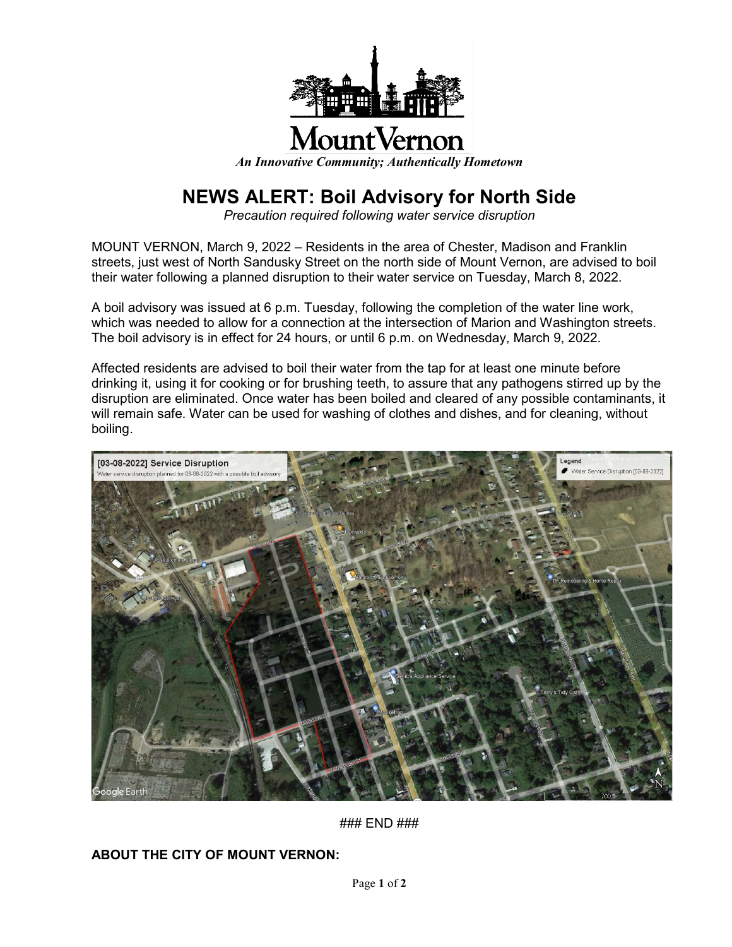

## **MountVernon**

*An Innovative Community; Authentically Hometown*

## **NEWS ALERT: Boil Advisory for North Side**

*Precaution required following water service disruption* 

MOUNT VERNON, March 9, 2022 – Residents in the area of Chester, Madison and Franklin streets, just west of North Sandusky Street on the north side of Mount Vernon, are advised to boil their water following a planned disruption to their water service on Tuesday, March 8, 2022.

A boil advisory was issued at 6 p.m. Tuesday, following the completion of the water line work, which was needed to allow for a connection at the intersection of Marion and Washington streets. The boil advisory is in effect for 24 hours, or until 6 p.m. on Wednesday, March 9, 2022.

Affected residents are advised to boil their water from the tap for at least one minute before drinking it, using it for cooking or for brushing teeth, to assure that any pathogens stirred up by the disruption are eliminated. Once water has been boiled and cleared of any possible contaminants, it will remain safe. Water can be used for washing of clothes and dishes, and for cleaning, without boiling.



### END ###

**ABOUT THE CITY OF MOUNT VERNON:**